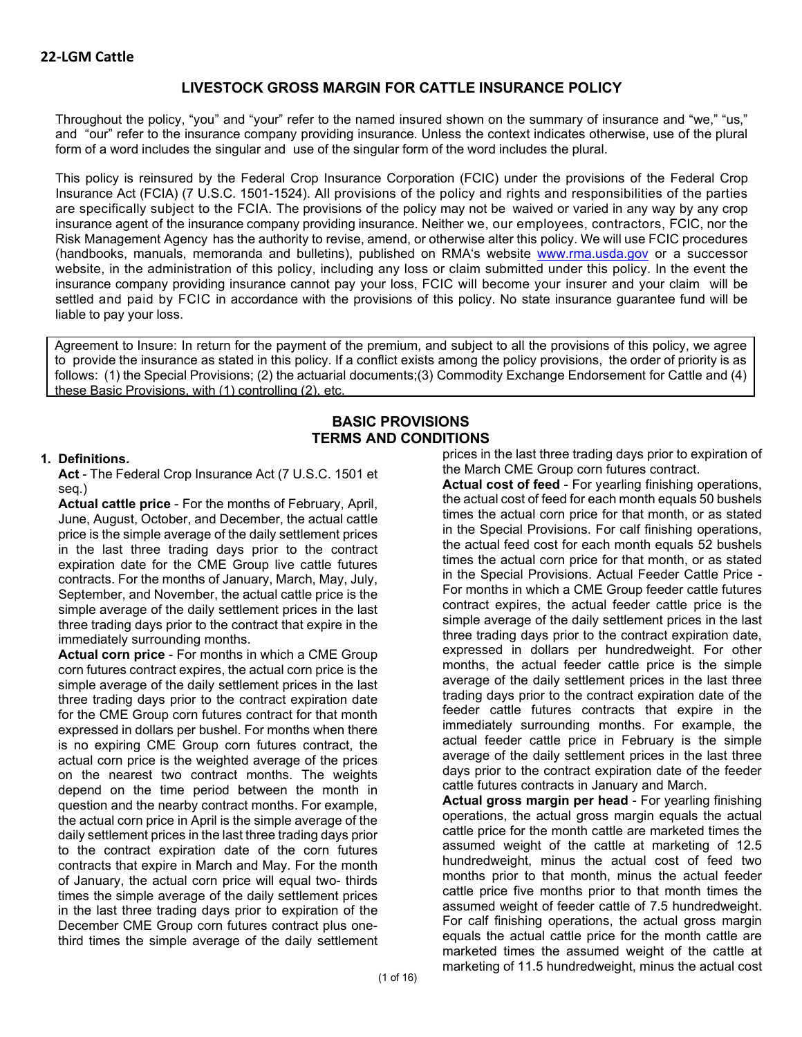# **LIVESTOCK GROSS MARGIN FOR CATTLE INSURANCE POLICY**

Throughout the policy, "you" and "your" refer to the named insured shown on the summary of insurance and "we," "us," and "our" refer to the insurance company providing insurance. Unless the context indicates otherwise, use of the plural form of a word includes the singular and use of the singular form of the word includes the plural.

This policy is reinsured by the Federal Crop Insurance Corporation (FCIC) under the provisions of the Federal Crop Insurance Act (FCIA) (7 U.S.C. 1501-1524). All provisions of the policy and rights and responsibilities of the parties are specifically subject to the FCIA. The provisions of the policy may not be waived or varied in any way by any crop insurance agent of the insurance company providing insurance. Neither we, our employees, contractors, FCIC, nor the Risk Management Agency has the authority to revise, amend, or otherwise alter this policy. We will use FCIC procedures (handbooks, manuals, memoranda and bulletins), published on RMA's website [www.rma.usda.gov](http://www.rma.usda.gov/) or a successor website, in the administration of this policy, including any loss or claim submitted under this policy. In the event the insurance company providing insurance cannot pay your loss, FCIC will become your insurer and your claim will be settled and paid by FCIC in accordance with the provisions of this policy. No state insurance guarantee fund will be liable to pay your loss.

Agreement to Insure: In return for the payment of the premium, and subject to all the provisions of this policy, we agree to provide the insurance as stated in this policy. If a conflict exists among the policy provisions, the order of priority is as follows: (1) the Special Provisions; (2) the actuarial documents;(3) Commodity Exchange Endorsement for Cattle and (4) these Basic Provisions, with (1) controlling (2), etc.

# **BASIC PROVISIONS TERMS AND CONDITIONS**

#### **1. Definitions.**

**Act** - The Federal Crop Insurance Act (7 U.S.C. 1501 et seq.)

**Actual cattle price** - For the months of February, April, June, August, October, and December, the actual cattle price is the simple average of the daily settlement prices in the last three trading days prior to the contract expiration date for the CME Group live cattle futures contracts. For the months of January, March, May, July, September, and November, the actual cattle price is the simple average of the daily settlement prices in the last three trading days prior to the contract that expire in the immediately surrounding months.

**Actual corn price** - For months in which a CME Group corn futures contract expires, the actual corn price is the simple average of the daily settlement prices in the last three trading days prior to the contract expiration date for the CME Group corn futures contract for that month expressed in dollars per bushel. For months when there is no expiring CME Group corn futures contract, the actual corn price is the weighted average of the prices on the nearest two contract months. The weights depend on the time period between the month in question and the nearby contract months. For example, the actual corn price in April is the simple average of the daily settlement prices in the last three trading days prior to the contract expiration date of the corn futures contracts that expire in March and May. For the month of January, the actual corn price will equal two- thirds times the simple average of the daily settlement prices in the last three trading days prior to expiration of the December CME Group corn futures contract plus onethird times the simple average of the daily settlement prices in the last three trading days prior to expiration of the March CME Group corn futures contract.

**Actual cost of feed** - For yearling finishing operations, the actual cost of feed for each month equals 50 bushels times the actual corn price for that month, or as stated in the Special Provisions. For calf finishing operations, the actual feed cost for each month equals 52 bushels times the actual corn price for that month, or as stated in the Special Provisions. Actual Feeder Cattle Price - For months in which a CME Group feeder cattle futures contract expires, the actual feeder cattle price is the simple average of the daily settlement prices in the last three trading days prior to the contract expiration date, expressed in dollars per hundredweight. For other months, the actual feeder cattle price is the simple average of the daily settlement prices in the last three trading days prior to the contract expiration date of the feeder cattle futures contracts that expire in the immediately surrounding months. For example, the actual feeder cattle price in February is the simple average of the daily settlement prices in the last three days prior to the contract expiration date of the feeder cattle futures contracts in January and March.

**Actual gross margin per head** - For yearling finishing operations, the actual gross margin equals the actual cattle price for the month cattle are marketed times the assumed weight of the cattle at marketing of 12.5 hundredweight, minus the actual cost of feed two months prior to that month, minus the actual feeder cattle price five months prior to that month times the assumed weight of feeder cattle of 7.5 hundredweight. For calf finishing operations, the actual gross margin equals the actual cattle price for the month cattle are marketed times the assumed weight of the cattle at marketing of 11.5 hundredweight, minus the actual cost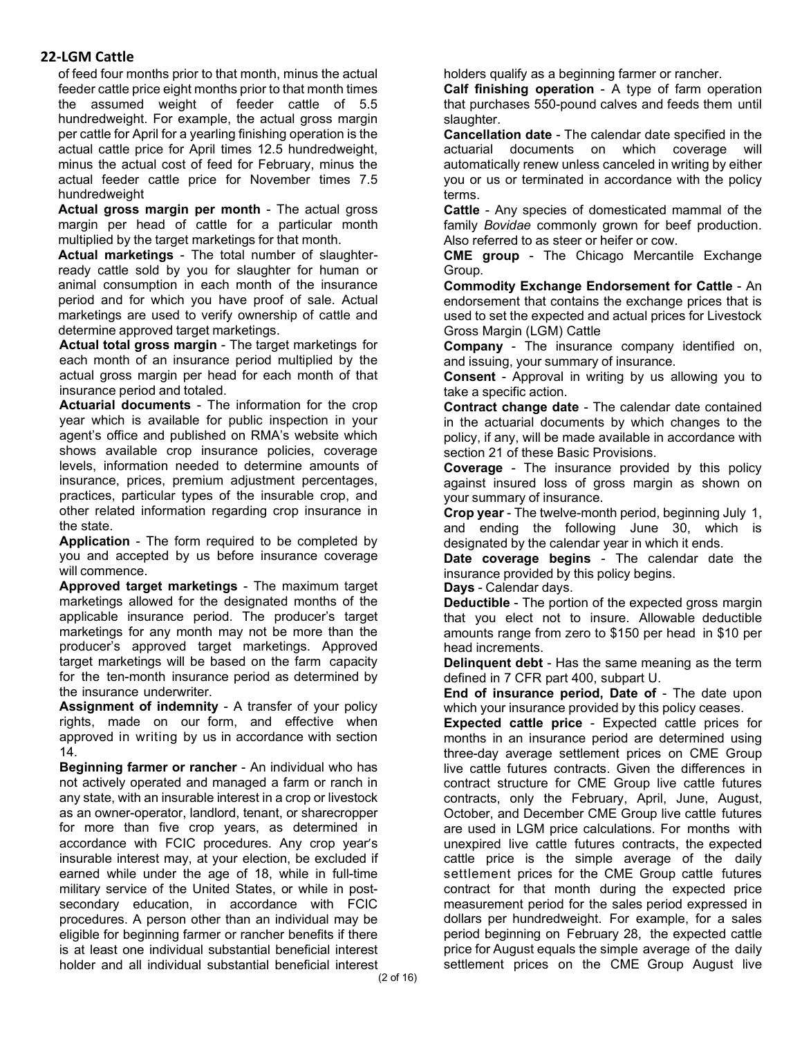of feed four months prior to that month, minus the actual feeder cattle price eight months prior to that month times the assumed weight of feeder cattle of 5.5 hundredweight. For example, the actual gross margin per cattle for April for a yearling finishing operation is the actual cattle price for April times 12.5 hundredweight, minus the actual cost of feed for February, minus the actual feeder cattle price for November times 7.5 hundredweight

**Actual gross margin per month** - The actual gross margin per head of cattle for a particular month multiplied by the target marketings for that month.

**Actual marketings** - The total number of slaughterready cattle sold by you for slaughter for human or animal consumption in each month of the insurance period and for which you have proof of sale. Actual marketings are used to verify ownership of cattle and determine approved target marketings.

**Actual total gross margin** - The target marketings for each month of an insurance period multiplied by the actual gross margin per head for each month of that insurance period and totaled.

**Actuarial documents** - The information for the crop year which is available for public inspection in your agent's office and published on RMA's website which shows available crop insurance policies, coverage levels, information needed to determine amounts of insurance, prices, premium adjustment percentages, practices, particular types of the insurable crop, and other related information regarding crop insurance in the state.

**Application** - The form required to be completed by you and accepted by us before insurance coverage will commence.

**Approved target marketings** - The maximum target marketings allowed for the designated months of the applicable insurance period. The producer's target marketings for any month may not be more than the producer's approved target marketings. Approved target marketings will be based on the farm capacity for the ten-month insurance period as determined by the insurance underwriter.

**Assignment of indemnity** - A transfer of your policy rights, made on our form, and effective when approved in writing by us in accordance with section 14.

**Beginning farmer or rancher** - An individual who has not actively operated and managed a farm or ranch in any state, with an insurable interest in a crop or livestock as an owner-operator, landlord, tenant, or sharecropper for more than five crop years, as determined in accordance with FCIC procedures. Any crop year's insurable interest may, at your election, be excluded if earned while under the age of 18, while in full-time military service of the United States, or while in postsecondary education, in accordance with FCIC procedures. A person other than an individual may be eligible for beginning farmer or rancher benefits if there is at least one individual substantial beneficial interest holder and all individual substantial beneficial interest

holders qualify as a beginning farmer or rancher.

**Calf finishing operation** - A type of farm operation that purchases 550-pound calves and feeds them until slaughter.

**Cancellation date** - The calendar date specified in the actuarial documents on which coverage will automatically renew unless canceled in writing by either you or us or terminated in accordance with the policy terms.

**Cattle** - Any species of domesticated mammal of the family *Bovidae* commonly grown for beef production. Also referred to as steer or heifer or cow.

**CME group** - The Chicago Mercantile Exchange Group.

**Commodity Exchange Endorsement for Cattle** - An endorsement that contains the exchange prices that is used to set the expected and actual prices for Livestock Gross Margin (LGM) Cattle

**Company** - The insurance company identified on, and issuing, your summary of insurance.

**Consent** - Approval in writing by us allowing you to take a specific action.

**Contract change date** - The calendar date contained in the actuarial documents by which changes to the policy, if any, will be made available in accordance with section 21 of these Basic Provisions.

**Coverage** - The insurance provided by this policy against insured loss of gross margin as shown on your summary of insurance.

**Crop year** - The twelve-month period, beginning July 1, and ending the following June 30, which is designated by the calendar year in which it ends.

**Date coverage begins** - The calendar date the insurance provided by this policy begins.

**Days** - Calendar days.

**Deductible** - The portion of the expected gross margin that you elect not to insure. Allowable deductible amounts range from zero to \$150 per head in \$10 per head increments.

**Delinquent debt** - Has the same meaning as the term defined in 7 CFR part 400, subpart U.

**End of insurance period, Date of** - The date upon which your insurance provided by this policy ceases.

**Expected cattle price** - Expected cattle prices for months in an insurance period are determined using three-day average settlement prices on CME Group live cattle futures contracts. Given the differences in contract structure for CME Group live cattle futures contracts, only the February, April, June, August, October, and December CME Group live cattle futures are used in LGM price calculations. For months with unexpired live cattle futures contracts, the expected cattle price is the simple average of the daily settlement prices for the CME Group cattle futures contract for that month during the expected price measurement period for the sales period expressed in dollars per hundredweight. For example, for a sales period beginning on February 28, the expected cattle price for August equals the simple average of the daily settlement prices on the CME Group August live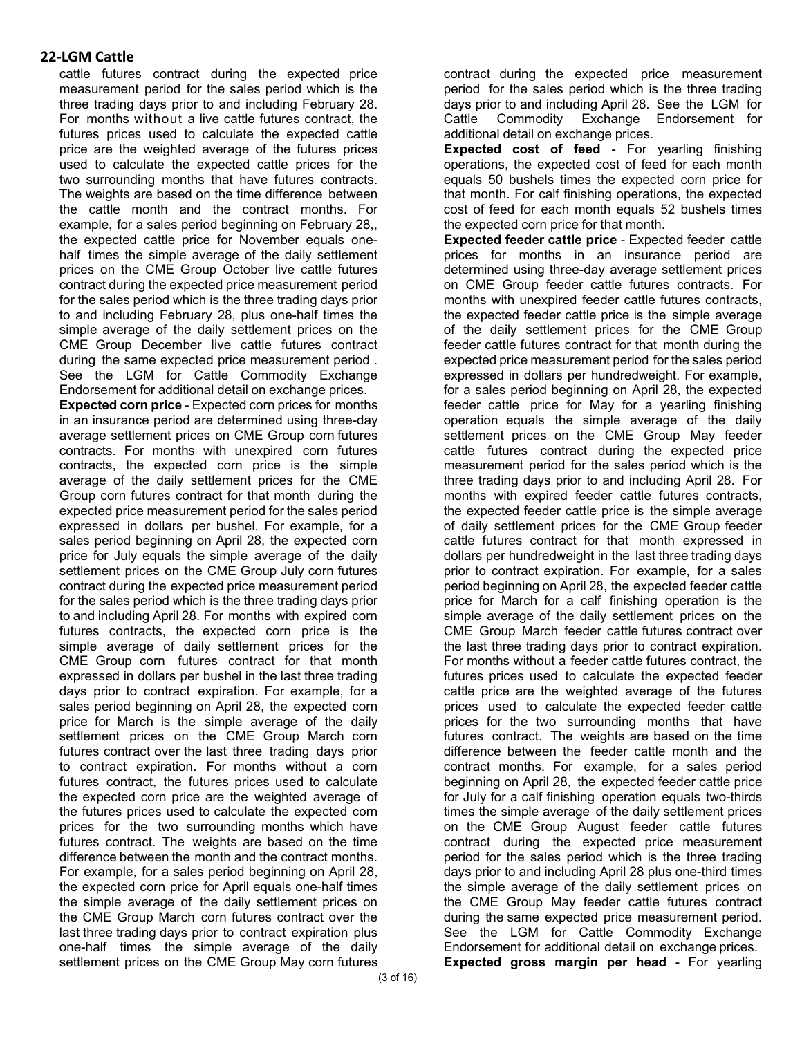cattle futures contract during the expected price measurement period for the sales period which is the three trading days prior to and including February 28. For months without a live cattle futures contract, the futures prices used to calculate the expected cattle price are the weighted average of the futures prices used to calculate the expected cattle prices for the two surrounding months that have futures contracts. The weights are based on the time difference between the cattle month and the contract months. For example, for a sales period beginning on February 28,, the expected cattle price for November equals onehalf times the simple average of the daily settlement prices on the CME Group October live cattle futures contract during the expected price measurement period for the sales period which is the three trading days prior to and including February 28, plus one-half times the simple average of the daily settlement prices on the CME Group December live cattle futures contract during the same expected price measurement period . See the LGM for Cattle Commodity Exchange Endorsement for additional detail on exchange prices.

**Expected corn price** - Expected corn prices for months in an insurance period are determined using three-day average settlement prices on CME Group corn futures contracts. For months with unexpired corn futures contracts, the expected corn price is the simple average of the daily settlement prices for the CME Group corn futures contract for that month during the expected price measurement period for the sales period expressed in dollars per bushel. For example, for a sales period beginning on April 28, the expected corn price for July equals the simple average of the daily settlement prices on the CME Group July corn futures contract during the expected price measurement period for the sales period which is the three trading days prior to and including April 28. For months with expired corn futures contracts, the expected corn price is the simple average of daily settlement prices for the CME Group corn futures contract for that month expressed in dollars per bushel in the last three trading days prior to contract expiration. For example, for a sales period beginning on April 28, the expected corn price for March is the simple average of the daily settlement prices on the CME Group March corn futures contract over the last three trading days prior to contract expiration. For months without a corn futures contract, the futures prices used to calculate the expected corn price are the weighted average of the futures prices used to calculate the expected corn prices for the two surrounding months which have futures contract. The weights are based on the time difference between the month and the contract months. For example, for a sales period beginning on April 28, the expected corn price for April equals one-half times the simple average of the daily settlement prices on the CME Group March corn futures contract over the last three trading days prior to contract expiration plus one-half times the simple average of the daily settlement prices on the CME Group May corn futures

contract during the expected price measurement period for the sales period which is the three trading days prior to and including April 28. See the LGM for Cattle Commodity Exchange Endorsement for additional detail on exchange prices.

**Expected cost of feed** - For yearling finishing operations, the expected cost of feed for each month equals 50 bushels times the expected corn price for that month. For calf finishing operations, the expected cost of feed for each month equals 52 bushels times the expected corn price for that month.

**Expected feeder cattle price** - Expected feeder cattle prices for months in an insurance period are determined using three-day average settlement prices on CME Group feeder cattle futures contracts. For months with unexpired feeder cattle futures contracts, the expected feeder cattle price is the simple average of the daily settlement prices for the CME Group feeder cattle futures contract for that month during the expected price measurement period for the sales period expressed in dollars per hundredweight. For example, for a sales period beginning on April 28, the expected feeder cattle price for May for a yearling finishing operation equals the simple average of the daily settlement prices on the CME Group May feeder cattle futures contract during the expected price measurement period for the sales period which is the three trading days prior to and including April 28. For months with expired feeder cattle futures contracts, the expected feeder cattle price is the simple average of daily settlement prices for the CME Group feeder cattle futures contract for that month expressed in dollars per hundredweight in the last three trading days prior to contract expiration. For example, for a sales period beginning on April 28, the expected feeder cattle price for March for a calf finishing operation is the simple average of the daily settlement prices on the CME Group March feeder cattle futures contract over the last three trading days prior to contract expiration. For months without a feeder cattle futures contract, the futures prices used to calculate the expected feeder cattle price are the weighted average of the futures prices used to calculate the expected feeder cattle prices for the two surrounding months that have futures contract. The weights are based on the time difference between the feeder cattle month and the contract months. For example, for a sales period beginning on April 28, the expected feeder cattle price for July for a calf finishing operation equals two-thirds times the simple average of the daily settlement prices on the CME Group August feeder cattle futures contract during the expected price measurement period for the sales period which is the three trading days prior to and including April 28 plus one-third times the simple average of the daily settlement prices on the CME Group May feeder cattle futures contract during the same expected price measurement period. See the LGM for Cattle Commodity Exchange Endorsement for additional detail on exchange prices. **Expected gross margin per head** - For yearling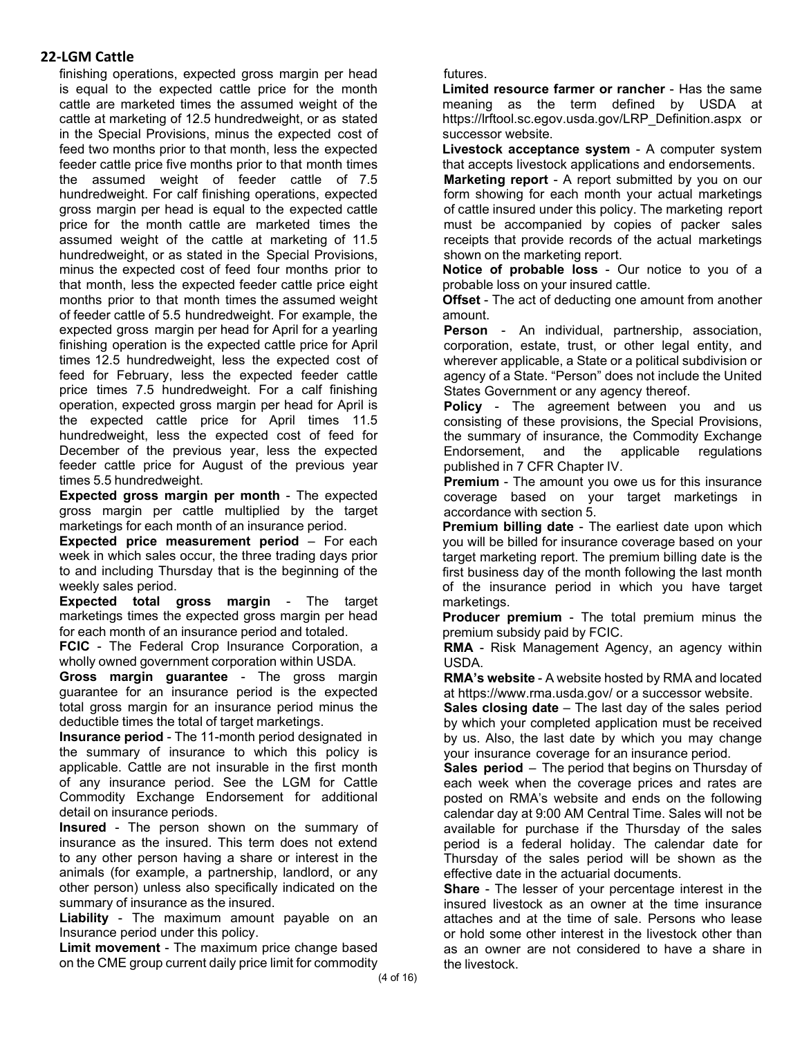finishing operations, expected gross margin per head is equal to the expected cattle price for the month cattle are marketed times the assumed weight of the cattle at marketing of 12.5 hundredweight, or as stated in the Special Provisions, minus the expected cost of feed two months prior to that month, less the expected feeder cattle price five months prior to that month times the assumed weight of feeder cattle of 7.5 hundredweight. For calf finishing operations, expected gross margin per head is equal to the expected cattle price for the month cattle are marketed times the assumed weight of the cattle at marketing of 11.5 hundredweight, or as stated in the Special Provisions, minus the expected cost of feed four months prior to that month, less the expected feeder cattle price eight months prior to that month times the assumed weight of feeder cattle of 5.5 hundredweight. For example, the expected gross margin per head for April for a yearling finishing operation is the expected cattle price for April times 12.5 hundredweight, less the expected cost of feed for February, less the expected feeder cattle price times 7.5 hundredweight. For a calf finishing operation, expected gross margin per head for April is the expected cattle price for April times 11.5 hundredweight, less the expected cost of feed for December of the previous year, less the expected feeder cattle price for August of the previous year times 5.5 hundredweight.

**Expected gross margin per month** - The expected gross margin per cattle multiplied by the target marketings for each month of an insurance period.

**Expected price measurement period** – For each week in which sales occur, the three trading days prior to and including Thursday that is the beginning of the weekly sales period.

**Expected total gross margin** - The target marketings times the expected gross margin per head for each month of an insurance period and totaled.

**FCIC** - The Federal Crop Insurance Corporation, a wholly owned government corporation within USDA.

**Gross margin guarantee** - The gross margin guarantee for an insurance period is the expected total gross margin for an insurance period minus the deductible times the total of target marketings.

**Insurance period** - The 11-month period designated in the summary of insurance to which this policy is applicable. Cattle are not insurable in the first month of any insurance period. See the LGM for Cattle Commodity Exchange Endorsement for additional detail on insurance periods.

**Insured** - The person shown on the summary of insurance as the insured. This term does not extend to any other person having a share or interest in the animals (for example, a partnership, landlord, or any other person) unless also specifically indicated on the summary of insurance as the insured.

**Liability** - The maximum amount payable on an Insurance period under this policy.

**Limit movement** - The maximum price change based on the CME group current daily price limit for commodity

futures.

**Limited resource farmer or rancher** - Has the same meaning as the term defined by USDA at https://lrftool.sc.egov.usda.gov/LRP\_Definition.aspx or successor website.

**Livestock acceptance system** - A computer system that accepts livestock applications and endorsements.

**Marketing report** - A report submitted by you on our form showing for each month your actual marketings of cattle insured under this policy. The marketing report must be accompanied by copies of packer sales receipts that provide records of the actual marketings shown on the marketing report.

**Notice of probable loss** - Our notice to you of a probable loss on your insured cattle.

**Offset** - The act of deducting one amount from another amount.

**Person** - An individual, partnership, association, corporation, estate, trust, or other legal entity, and wherever applicable, a State or a political subdivision or agency of a State. "Person" does not include the United States Government or any agency thereof.

**Policy** - The agreement between you and us consisting of these provisions, the Special Provisions, the summary of insurance, the Commodity Exchange<br>Endorsement, and the applicable regulations Endorsement, and the applicable published in 7 CFR Chapter IV.

**Premium** - The amount you owe us for this insurance coverage based on your target marketings in accordance with section 5.

**Premium billing date** - The earliest date upon which you will be billed for insurance coverage based on your target marketing report. The premium billing date is the first business day of the month following the last month of the insurance period in which you have target marketings.

**Producer premium** - The total premium minus the premium subsidy paid by FCIC.

**RMA** - Risk Management Agency, an agency within USDA.

**RMA's website** - A website hosted by RMA and located at https://www.rma.usda.gov/ or a successor website.

**Sales closing date** – The last day of the sales period by which your completed application must be received by us. Also, the last date by which you may change your insurance coverage for an insurance period.

**Sales period** – The period that begins on Thursday of each week when the coverage prices and rates are posted on RMA's website and ends on the following calendar day at 9:00 AM Central Time. Sales will not be available for purchase if the Thursday of the sales period is a federal holiday. The calendar date for Thursday of the sales period will be shown as the effective date in the actuarial documents.

**Share** - The lesser of your percentage interest in the insured livestock as an owner at the time insurance attaches and at the time of sale. Persons who lease or hold some other interest in the livestock other than as an owner are not considered to have a share in the livestock.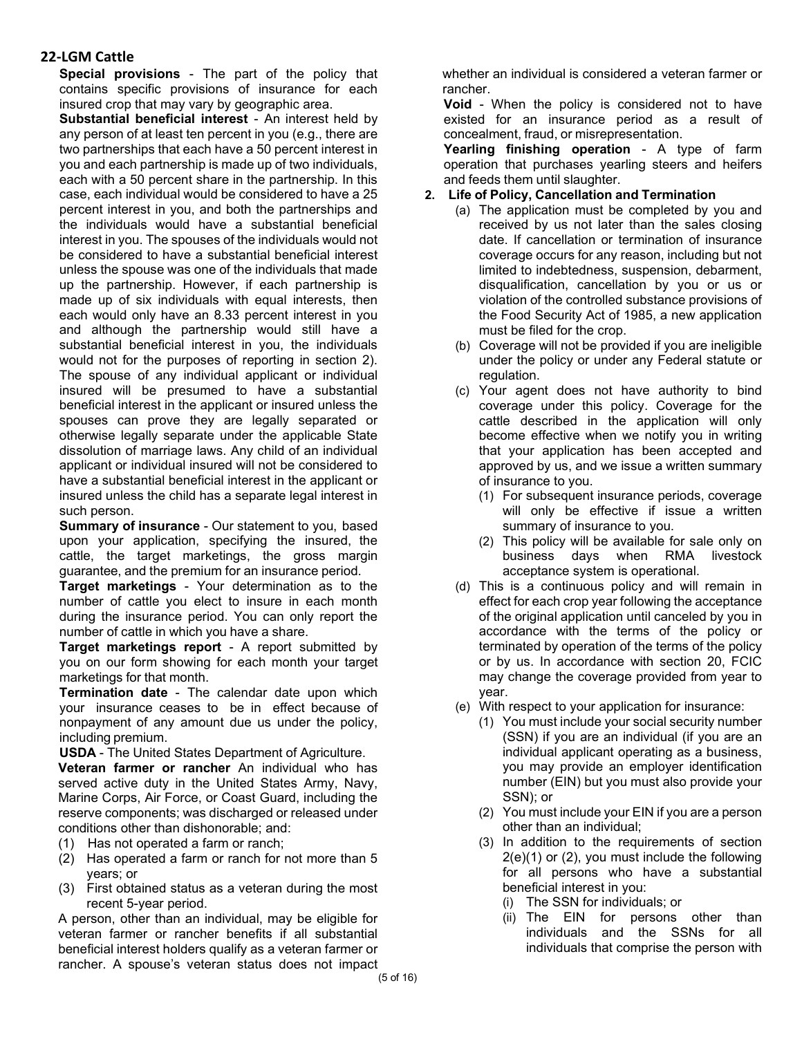**Special provisions** - The part of the policy that contains specific provisions of insurance for each insured crop that may vary by geographic area.

**Substantial beneficial interest** - An interest held by any person of at least ten percent in you (e.g., there are two partnerships that each have a 50 percent interest in you and each partnership is made up of two individuals, each with a 50 percent share in the partnership. In this case, each individual would be considered to have a 25 percent interest in you, and both the partnerships and the individuals would have a substantial beneficial interest in you. The spouses of the individuals would not be considered to have a substantial beneficial interest unless the spouse was one of the individuals that made up the partnership. However, if each partnership is made up of six individuals with equal interests, then each would only have an 8.33 percent interest in you and although the partnership would still have a substantial beneficial interest in you, the individuals would not for the purposes of reporting in section 2). The spouse of any individual applicant or individual insured will be presumed to have a substantial beneficial interest in the applicant or insured unless the spouses can prove they are legally separated or otherwise legally separate under the applicable State dissolution of marriage laws. Any child of an individual applicant or individual insured will not be considered to have a substantial beneficial interest in the applicant or insured unless the child has a separate legal interest in such person.

**Summary of insurance** - Our statement to you, based upon your application, specifying the insured, the cattle, the target marketings, the gross margin guarantee, and the premium for an insurance period.

**Target marketings** - Your determination as to the number of cattle you elect to insure in each month during the insurance period. You can only report the number of cattle in which you have a share.

**Target marketings report** - A report submitted by you on our form showing for each month your target marketings for that month.

**Termination date** - The calendar date upon which your insurance ceases to be in effect because of nonpayment of any amount due us under the policy, including premium.

**USDA** - The United States Department of Agriculture.

**Veteran farmer or rancher** An individual who has served active duty in the United States Army, Navy, Marine Corps, Air Force, or Coast Guard, including the reserve components; was discharged or released under conditions other than dishonorable; and:

- (1) Has not operated a farm or ranch;
- (2) Has operated a farm or ranch for not more than 5 years; or
- (3) First obtained status as a veteran during the most recent 5-year period.

A person, other than an individual, may be eligible for veteran farmer or rancher benefits if all substantial beneficial interest holders qualify as a veteran farmer or rancher. A spouse's veteran status does not impact whether an individual is considered a veteran farmer or rancher.

**Void** - When the policy is considered not to have existed for an insurance period as a result of concealment, fraud, or misrepresentation.

**Yearling finishing operation** - A type of farm operation that purchases yearling steers and heifers and feeds them until slaughter.

#### **2. Life of Policy, Cancellation and Termination**

- (a) The application must be completed by you and received by us not later than the sales closing date. If cancellation or termination of insurance coverage occurs for any reason, including but not limited to indebtedness, suspension, debarment, disqualification, cancellation by you or us or violation of the controlled substance provisions of the Food Security Act of 1985, a new application must be filed for the crop.
- (b) Coverage will not be provided if you are ineligible under the policy or under any Federal statute or regulation.
- (c) Your agent does not have authority to bind coverage under this policy. Coverage for the cattle described in the application will only become effective when we notify you in writing that your application has been accepted and approved by us, and we issue a written summary of insurance to you.
	- (1) For subsequent insurance periods, coverage will only be effective if issue a written summary of insurance to you.
	- (2) This policy will be available for sale only on business days when RMA livestock acceptance system is operational.
- (d) This is a continuous policy and will remain in effect for each crop year following the acceptance of the original application until canceled by you in accordance with the terms of the policy or terminated by operation of the terms of the policy or by us. In accordance with section 20, FCIC may change the coverage provided from year to year.
- (e) With respect to your application for insurance:
	- (1) You must include your social security number (SSN) if you are an individual (if you are an individual applicant operating as a business, you may provide an employer identification number (EIN) but you must also provide your SSN); or
	- (2) You must include your EIN if you are a person other than an individual;
	- (3) In addition to the requirements of section 2(e)(1) or (2), you must include the following for all persons who have a substantial beneficial interest in you:
		- (i) The SSN for individuals; or
		- (ii) The EIN for persons other than individuals and the SSNs for all individuals that comprise the person with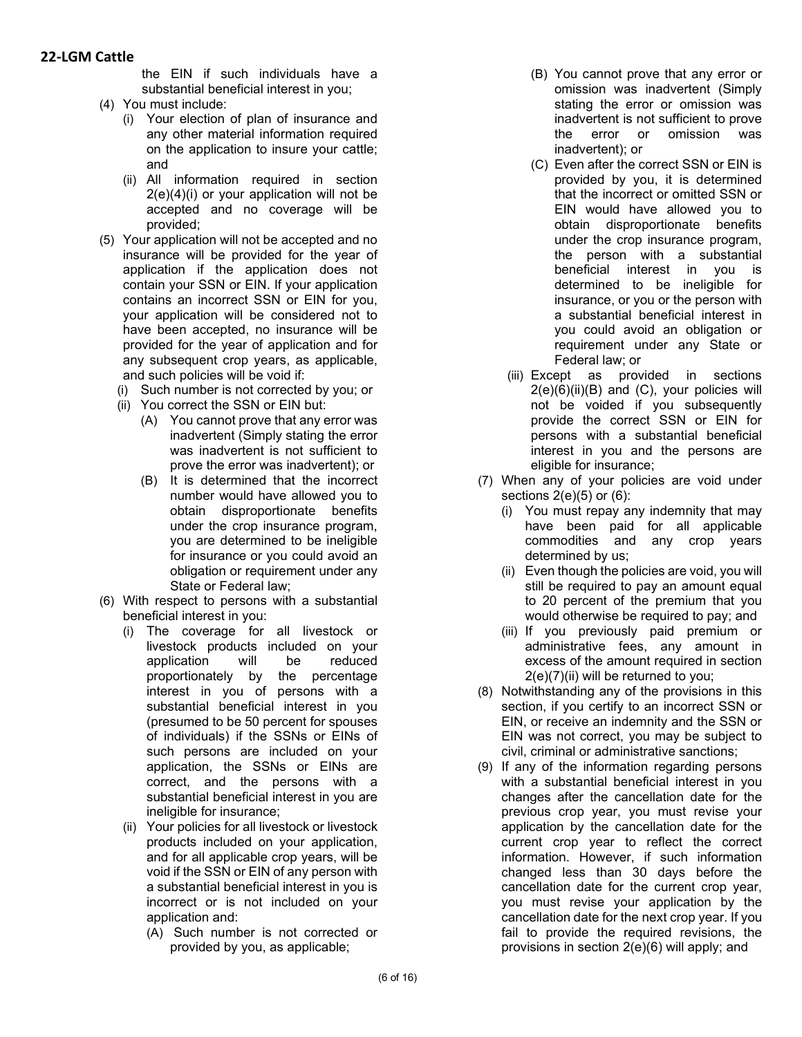the EIN if such individuals have a substantial beneficial interest in you;

- (4) You must include:
	- (i) Your election of plan of insurance and any other material information required on the application to insure your cattle; and
	- (ii) All information required in section 2(e)(4)(i) or your application will not be accepted and no coverage will be provided;
- (5) Your application will not be accepted and no insurance will be provided for the year of application if the application does not contain your SSN or EIN. If your application contains an incorrect SSN or EIN for you, your application will be considered not to have been accepted, no insurance will be provided for the year of application and for any subsequent crop years, as applicable, and such policies will be void if:
	- (i) Such number is not corrected by you; or
	- (ii) You correct the SSN or EIN but:
		- (A) You cannot prove that any error was inadvertent (Simply stating the error was inadvertent is not sufficient to prove the error was inadvertent); or
		- (B) It is determined that the incorrect number would have allowed you to obtain disproportionate benefits under the crop insurance program, you are determined to be ineligible for insurance or you could avoid an obligation or requirement under any State or Federal law;
- (6) With respect to persons with a substantial beneficial interest in you:
	- (i) The coverage for all livestock or livestock products included on your application will be reduced proportionately by the percentage interest in you of persons with a substantial beneficial interest in you (presumed to be 50 percent for spouses of individuals) if the SSNs or EINs of such persons are included on your application, the SSNs or EINs are correct, and the persons with a substantial beneficial interest in you are ineligible for insurance;
	- (ii) Your policies for all livestock or livestock products included on your application, and for all applicable crop years, will be void if the SSN or EIN of any person with a substantial beneficial interest in you is incorrect or is not included on your application and:
		- (A) Such number is not corrected or provided by you, as applicable;
- (B) You cannot prove that any error or omission was inadvertent (Simply stating the error or omission was inadvertent is not sufficient to prove the error or omission was inadvertent); or
- (C) Even after the correct SSN or EIN is provided by you, it is determined that the incorrect or omitted SSN or EIN would have allowed you to obtain disproportionate benefits under the crop insurance program, the person with a substantial beneficial interest in you is determined to be ineligible for insurance, or you or the person with a substantial beneficial interest in you could avoid an obligation or requirement under any State or Federal law; or
- (iii) Except as provided in sections  $2(e)(6)(ii)(B)$  and  $(C)$ , your policies will not be voided if you subsequently provide the correct SSN or EIN for persons with a substantial beneficial interest in you and the persons are eligible for insurance;
- (7) When any of your policies are void under sections 2(e)(5) or (6):
	- (i) You must repay any indemnity that may have been paid for all applicable commodities and any crop years determined by us;
	- (ii) Even though the policies are void, you will still be required to pay an amount equal to 20 percent of the premium that you would otherwise be required to pay; and
	- (iii) If you previously paid premium or administrative fees, any amount in excess of the amount required in section 2(e)(7)(ii) will be returned to you;
- (8) Notwithstanding any of the provisions in this section, if you certify to an incorrect SSN or EIN, or receive an indemnity and the SSN or EIN was not correct, you may be subject to civil, criminal or administrative sanctions;
- (9) If any of the information regarding persons with a substantial beneficial interest in you changes after the cancellation date for the previous crop year, you must revise your application by the cancellation date for the current crop year to reflect the correct information. However, if such information changed less than 30 days before the cancellation date for the current crop year, you must revise your application by the cancellation date for the next crop year. If you fail to provide the required revisions, the provisions in section 2(e)(6) will apply; and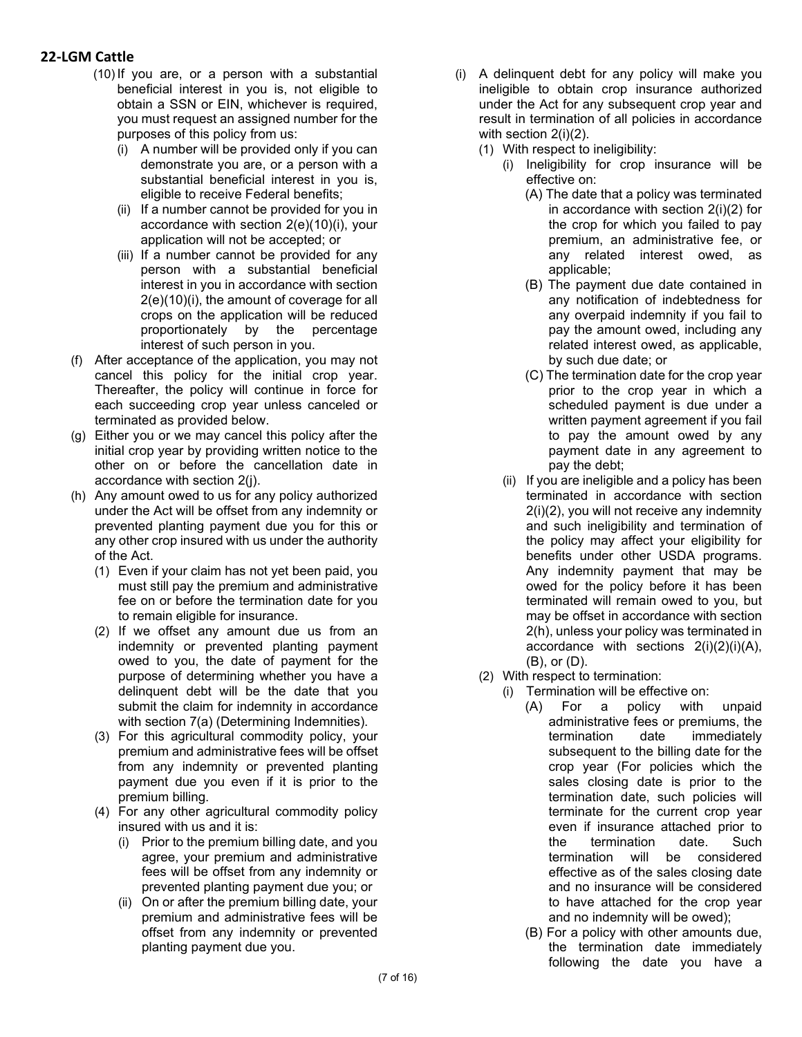- (10) If you are, or a person with a substantial beneficial interest in you is, not eligible to obtain a SSN or EIN, whichever is required, you must request an assigned number for the purposes of this policy from us:
	- (i) A number will be provided only if you can demonstrate you are, or a person with a substantial beneficial interest in you is, eligible to receive Federal benefits;
	- (ii) If a number cannot be provided for you in accordance with section 2(e)(10)(i), your application will not be accepted; or
	- (iii) If a number cannot be provided for any person with a substantial beneficial interest in you in accordance with section 2(e)(10)(i), the amount of coverage for all crops on the application will be reduced proportionately by the percentage interest of such person in you.
- (f) After acceptance of the application, you may not cancel this policy for the initial crop year. Thereafter, the policy will continue in force for each succeeding crop year unless canceled or terminated as provided below.
- (g) Either you or we may cancel this policy after the initial crop year by providing written notice to the other on or before the cancellation date in accordance with section 2(j).
- (h) Any amount owed to us for any policy authorized under the Act will be offset from any indemnity or prevented planting payment due you for this or any other crop insured with us under the authority of the Act.
	- (1) Even if your claim has not yet been paid, you must still pay the premium and administrative fee on or before the termination date for you to remain eligible for insurance.
	- (2) If we offset any amount due us from an indemnity or prevented planting payment owed to you, the date of payment for the purpose of determining whether you have a delinquent debt will be the date that you submit the claim for indemnity in accordance with section 7(a) (Determining Indemnities).
	- (3) For this agricultural commodity policy, your premium and administrative fees will be offset from any indemnity or prevented planting payment due you even if it is prior to the premium billing.
	- (4) For any other agricultural commodity policy insured with us and it is:
		- (i) Prior to the premium billing date, and you agree, your premium and administrative fees will be offset from any indemnity or prevented planting payment due you; or
		- (ii) On or after the premium billing date, your premium and administrative fees will be offset from any indemnity or prevented planting payment due you.
- (i) A delinquent debt for any policy will make you ineligible to obtain crop insurance authorized under the Act for any subsequent crop year and result in termination of all policies in accordance with section 2(i)(2).
	- (1) With respect to ineligibility:
		- (i) Ineligibility for crop insurance will be effective on:
			- (A) The date that a policy was terminated in accordance with section 2(i)(2) for the crop for which you failed to pay premium, an administrative fee, or any related interest owed, as applicable;
			- (B) The payment due date contained in any notification of indebtedness for any overpaid indemnity if you fail to pay the amount owed, including any related interest owed, as applicable, by such due date; or
			- (C) The termination date for the crop year prior to the crop year in which a scheduled payment is due under a written payment agreement if you fail to pay the amount owed by any payment date in any agreement to pay the debt;
		- (ii) If you are ineligible and a policy has been terminated in accordance with section 2(i)(2), you will not receive any indemnity and such ineligibility and termination of the policy may affect your eligibility for benefits under other USDA programs. Any indemnity payment that may be owed for the policy before it has been terminated will remain owed to you, but may be offset in accordance with section 2(h), unless your policy was terminated in accordance with sections 2(i)(2)(i)(A), (B), or (D).
	- (2) With respect to termination:
		- (i) Termination will be effective on:
			- (A) For a policy with unpaid administrative fees or premiums, the termination date immediately subsequent to the billing date for the crop year (For policies which the sales closing date is prior to the termination date, such policies will terminate for the current crop year even if insurance attached prior to the termination date. Such termination will be considered effective as of the sales closing date and no insurance will be considered to have attached for the crop year and no indemnity will be owed);
			- (B) For a policy with other amounts due, the termination date immediately following the date you have a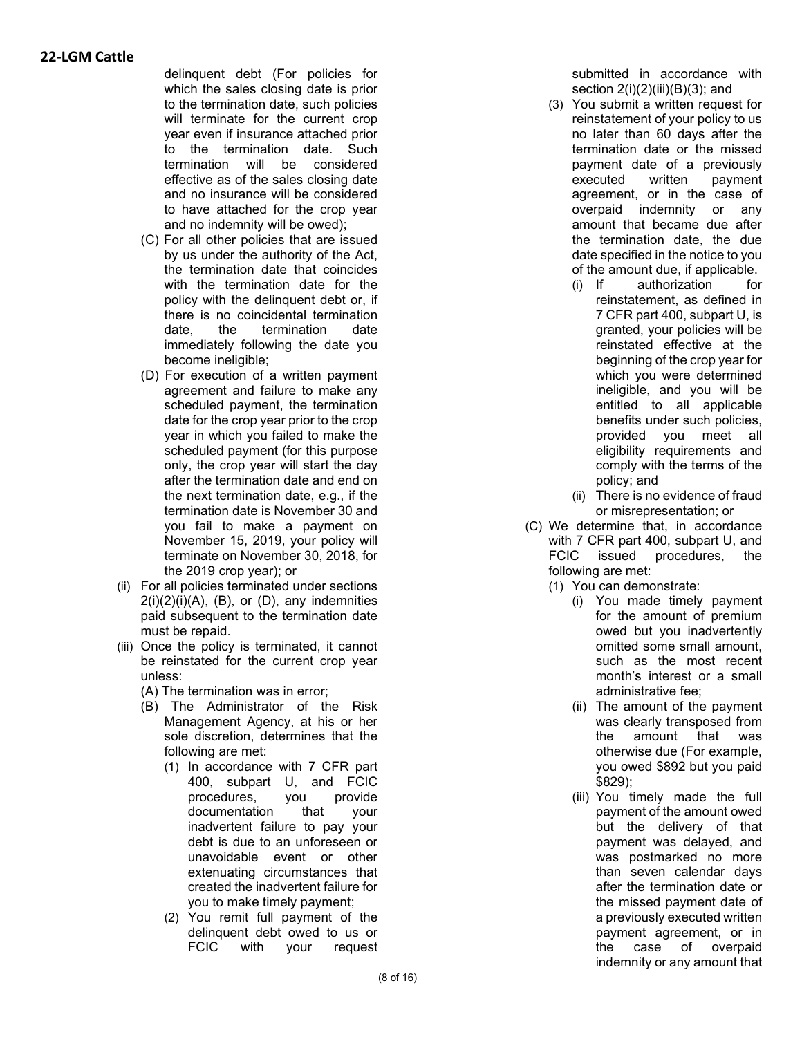delinquent debt (For policies for which the sales closing date is prior to the termination date, such policies will terminate for the current crop year even if insurance attached prior to the termination date. Such termination will be considered effective as of the sales closing date and no insurance will be considered to have attached for the crop year and no indemnity will be owed);

- (C) For all other policies that are issued by us under the authority of the Act, the termination date that coincides with the termination date for the policy with the delinquent debt or, if there is no coincidental termination date, the termination date immediately following the date you become ineligible;
- (D) For execution of a written payment agreement and failure to make any scheduled payment, the termination date for the crop year prior to the crop year in which you failed to make the scheduled payment (for this purpose only, the crop year will start the day after the termination date and end on the next termination date, e.g., if the termination date is November 30 and you fail to make a payment on November 15, 2019, your policy will terminate on November 30, 2018, for the 2019 crop year); or
- (ii) For all policies terminated under sections  $2(i)(2)(i)(A)$ ,  $(B)$ , or  $(D)$ , any indemnities paid subsequent to the termination date must be repaid.
- (iii) Once the policy is terminated, it cannot be reinstated for the current crop year unless:
	- (A) The termination was in error;
	- (B) The Administrator of the Risk Management Agency, at his or her sole discretion, determines that the following are met:
		- (1) In accordance with 7 CFR part 400, subpart U, and FCIC procedures, you provide documentation that your inadvertent failure to pay your debt is due to an unforeseen or unavoidable event or other extenuating circumstances that created the inadvertent failure for you to make timely payment;
		- (2) You remit full payment of the delinquent debt owed to us or FCIC with your request

submitted in accordance with section  $2(i)(2)(iii)(B)(3)$ ; and

- (3) You submit a written request for reinstatement of your policy to us no later than 60 days after the termination date or the missed payment date of a previously executed written payment agreement, or in the case of overpaid indemnity or any amount that became due after the termination date, the due date specified in the notice to you
	- of the amount due, if applicable.<br>(i) If authorization for authorization for reinstatement, as defined in 7 CFR part 400, subpart U, is granted, your policies will be reinstated effective at the beginning of the crop year for which you were determined ineligible, and you will be entitled to all applicable benefits under such policies, provided you meet all eligibility requirements and comply with the terms of the policy; and
	- (ii) There is no evidence of fraud or misrepresentation; or
- (C) We determine that, in accordance with 7 CFR part 400, subpart U, and FCIC issued procedures, the following are met:
	- (1) You can demonstrate:
		- (i) You made timely payment for the amount of premium owed but you inadvertently omitted some small amount, such as the most recent month's interest or a small administrative fee;
		- (ii) The amount of the payment was clearly transposed from the amount that was otherwise due (For example, you owed \$892 but you paid \$829);
		- (iii) You timely made the full payment of the amount owed but the delivery of that payment was delayed, and was postmarked no more than seven calendar days after the termination date or the missed payment date of a previously executed written payment agreement, or in the case of overpaid indemnity or any amount that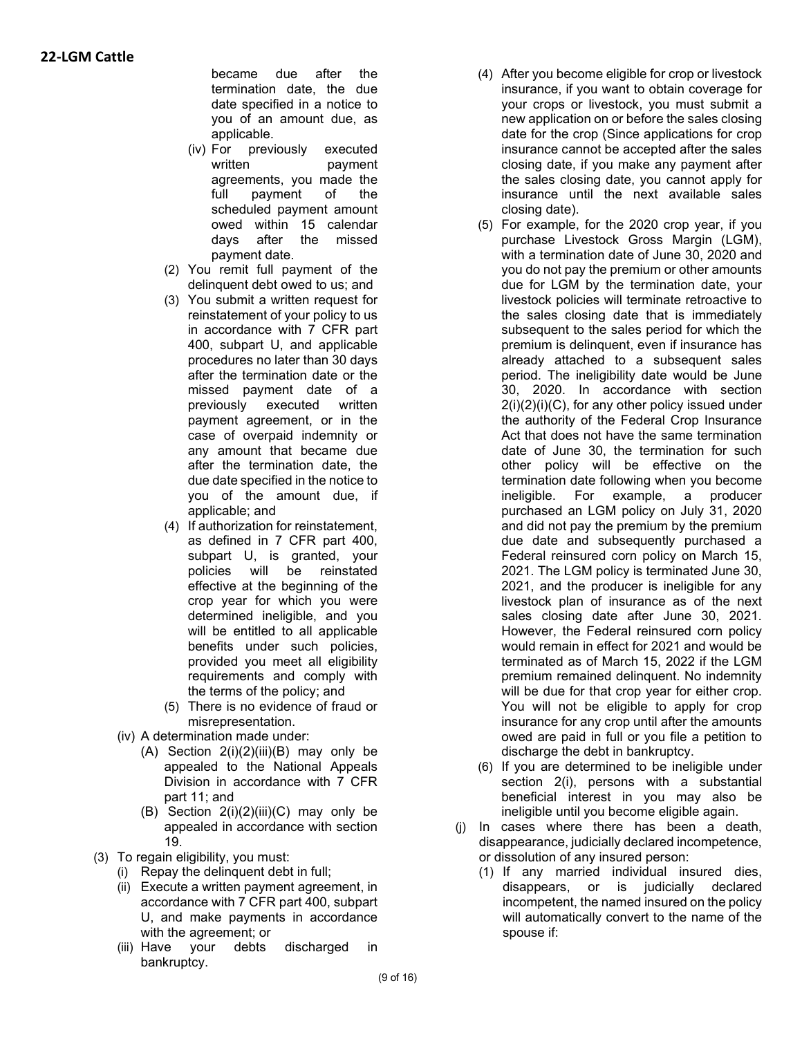became due after the termination date, the due date specified in a notice to you of an amount due, as applicable.

- (iv) For previously executed written payment agreements, you made the full payment of the scheduled payment amount owed within 15 calendar days after the missed payment date.
- (2) You remit full payment of the delinquent debt owed to us; and
- (3) You submit a written request for reinstatement of your policy to us in accordance with 7 CFR part 400, subpart U, and applicable procedures no later than 30 days after the termination date or the missed payment date of a previously executed written payment agreement, or in the case of overpaid indemnity or any amount that became due after the termination date, the due date specified in the notice to you of the amount due, if applicable; and
- (4) If authorization for reinstatement, as defined in 7 CFR part 400, subpart U, is granted, your policies will be reinstated effective at the beginning of the crop year for which you were determined ineligible, and you will be entitled to all applicable benefits under such policies, provided you meet all eligibility requirements and comply with the terms of the policy; and
- (5) There is no evidence of fraud or misrepresentation.
- (iv) A determination made under:
	- $(A)$  Section  $2(i)(2)(iii)(B)$  may only be appealed to the National Appeals Division in accordance with 7 CFR part 11; and
	- (B) Section  $2(i)(2)(iii)(C)$  may only be appealed in accordance with section 19.
- (3) To regain eligibility, you must:
	- (i) Repay the delinquent debt in full;
	- (ii) Execute a written payment agreement, in accordance with 7 CFR part 400, subpart U, and make payments in accordance with the agreement; or
	- (iii) Have your debts discharged in bankruptcy.
- (4) After you become eligible for crop or livestock insurance, if you want to obtain coverage for your crops or livestock, you must submit a new application on or before the sales closing date for the crop (Since applications for crop insurance cannot be accepted after the sales closing date, if you make any payment after the sales closing date, you cannot apply for insurance until the next available sales closing date).
- (5) For example, for the 2020 crop year, if you purchase Livestock Gross Margin (LGM), with a termination date of June 30, 2020 and you do not pay the premium or other amounts due for LGM by the termination date, your livestock policies will terminate retroactive to the sales closing date that is immediately subsequent to the sales period for which the premium is delinquent, even if insurance has already attached to a subsequent sales period. The ineligibility date would be June 30, 2020. In accordance with section 2(i)(2)(i)(C), for any other policy issued under the authority of the Federal Crop Insurance Act that does not have the same termination date of June 30, the termination for such other policy will be effective on the termination date following when you become ineligible. For example, a producer purchased an LGM policy on July 31, 2020 and did not pay the premium by the premium due date and subsequently purchased a Federal reinsured corn policy on March 15, 2021. The LGM policy is terminated June 30, 2021, and the producer is ineligible for any livestock plan of insurance as of the next sales closing date after June 30, 2021. However, the Federal reinsured corn policy would remain in effect for 2021 and would be terminated as of March 15, 2022 if the LGM premium remained delinquent. No indemnity will be due for that crop year for either crop. You will not be eligible to apply for crop insurance for any crop until after the amounts owed are paid in full or you file a petition to discharge the debt in bankruptcy.
- (6) If you are determined to be ineligible under section 2(i), persons with a substantial beneficial interest in you may also be ineligible until you become eligible again.
- (j) In cases where there has been a death, disappearance, judicially declared incompetence, or dissolution of any insured person:
	- (1) If any married individual insured dies, disappears, or is judicially declared incompetent, the named insured on the policy will automatically convert to the name of the spouse if: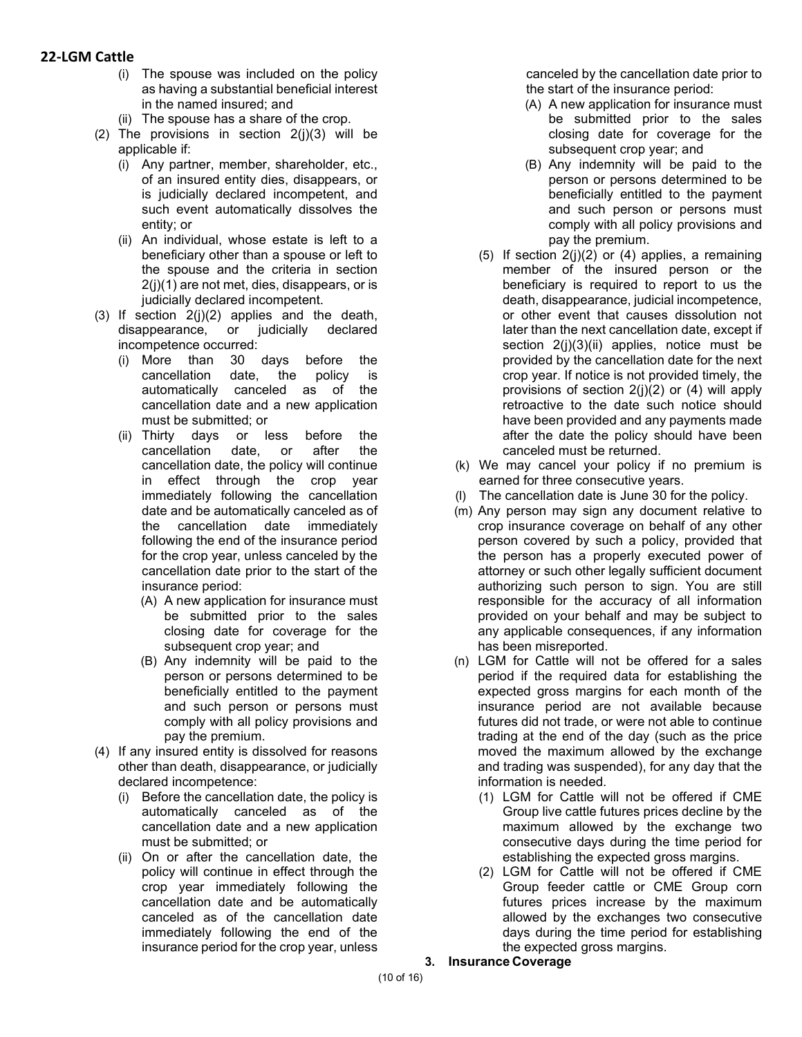- (i) The spouse was included on the policy as having a substantial beneficial interest in the named insured; and
- (ii) The spouse has a share of the crop.
- (2) The provisions in section  $2(i)(3)$  will be applicable if:
	- (i) Any partner, member, shareholder, etc., of an insured entity dies, disappears, or is judicially declared incompetent, and such event automatically dissolves the entity; or
	- (ii) An individual, whose estate is left to a beneficiary other than a spouse or left to the spouse and the criteria in section 2(j)(1) are not met, dies, disappears, or is judicially declared incompetent.
- (3) If section 2(j)(2) applies and the death, disappearance, or judicially declared incompetence occurred:
	- (i) More than 30 days before the cancellation date, the policy is automatically canceled as of the cancellation date and a new application must be submitted; or
	- (ii) Thirty days or less before the cancellation date, or after the cancellation date, the policy will continue in effect through the crop year immediately following the cancellation date and be automatically canceled as of the cancellation date immediately following the end of the insurance period for the crop year, unless canceled by the cancellation date prior to the start of the insurance period:
		- (A) A new application for insurance must be submitted prior to the sales closing date for coverage for the subsequent crop year; and
		- (B) Any indemnity will be paid to the person or persons determined to be beneficially entitled to the payment and such person or persons must comply with all policy provisions and pay the premium.
- (4) If any insured entity is dissolved for reasons other than death, disappearance, or judicially declared incompetence:
	- (i) Before the cancellation date, the policy is automatically canceled as of the cancellation date and a new application must be submitted; or
	- (ii) On or after the cancellation date, the policy will continue in effect through the crop year immediately following the cancellation date and be automatically canceled as of the cancellation date immediately following the end of the insurance period for the crop year, unless

canceled by the cancellation date prior to the start of the insurance period:

- (A) A new application for insurance must be submitted prior to the sales closing date for coverage for the subsequent crop year; and
- (B) Any indemnity will be paid to the person or persons determined to be beneficially entitled to the payment and such person or persons must comply with all policy provisions and pay the premium.
- (5) If section  $2(i)(2)$  or (4) applies, a remaining member of the insured person or the beneficiary is required to report to us the death, disappearance, judicial incompetence, or other event that causes dissolution not later than the next cancellation date, except if section 2(j)(3)(ii) applies, notice must be provided by the cancellation date for the next crop year. If notice is not provided timely, the provisions of section  $2(i)(2)$  or  $(4)$  will apply retroactive to the date such notice should have been provided and any payments made after the date the policy should have been canceled must be returned.
- (k) We may cancel your policy if no premium is earned for three consecutive years.
- (l) The cancellation date is June 30 for the policy.
- (m) Any person may sign any document relative to crop insurance coverage on behalf of any other person covered by such a policy, provided that the person has a properly executed power of attorney or such other legally sufficient document authorizing such person to sign. You are still responsible for the accuracy of all information provided on your behalf and may be subject to any applicable consequences, if any information has been misreported.
- (n) LGM for Cattle will not be offered for a sales period if the required data for establishing the expected gross margins for each month of the insurance period are not available because futures did not trade, or were not able to continue trading at the end of the day (such as the price moved the maximum allowed by the exchange and trading was suspended), for any day that the information is needed.
	- (1) LGM for Cattle will not be offered if CME Group live cattle futures prices decline by the maximum allowed by the exchange two consecutive days during the time period for establishing the expected gross margins.
	- (2) LGM for Cattle will not be offered if CME Group feeder cattle or CME Group corn futures prices increase by the maximum allowed by the exchanges two consecutive days during the time period for establishing the expected gross margins.
- **3. Insurance Coverage**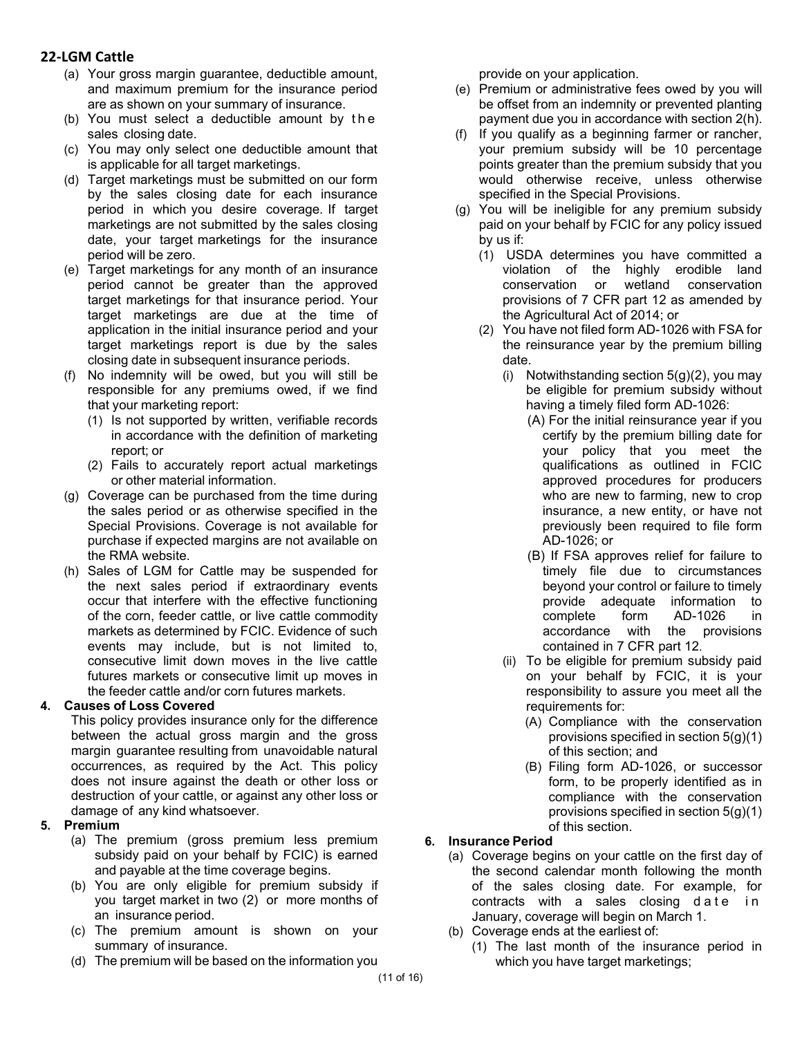- (a) Your gross margin guarantee, deductible amount, and maximum premium for the insurance period are as shown on your summary of insurance.
- (b) You must select a deductible amount by the sales closing date.
- (c) You may only select one deductible amount that is applicable for all target marketings.
- (d) Target marketings must be submitted on our form by the sales closing date for each insurance period in which you desire coverage. If target marketings are not submitted by the sales closing date, your target marketings for the insurance period will be zero.
- (e) Target marketings for any month of an insurance period cannot be greater than the approved target marketings for that insurance period. Your target marketings are due at the time of application in the initial insurance period and your target marketings report is due by the sales closing date in subsequent insurance periods.
- (f) No indemnity will be owed, but you will still be responsible for any premiums owed, if we find that your marketing report:
	- (1) Is not supported by written, verifiable records in accordance with the definition of marketing report; or
	- (2) Fails to accurately report actual marketings or other material information.
- (g) Coverage can be purchased from the time during the sales period or as otherwise specified in the Special Provisions. Coverage is not available for purchase if expected margins are not available on the RMA website.
- (h) Sales of LGM for Cattle may be suspended for the next sales period if extraordinary events occur that interfere with the effective functioning of the corn, feeder cattle, or live cattle commodity markets as determined by FCIC. Evidence of such events may include, but is not limited to, consecutive limit down moves in the live cattle futures markets or consecutive limit up moves in the feeder cattle and/or corn futures markets.

### **4. Causes of Loss Covered**

This policy provides insurance only for the difference between the actual gross margin and the gross margin guarantee resulting from unavoidable natural occurrences, as required by the Act. This policy does not insure against the death or other loss or destruction of your cattle, or against any other loss or damage of any kind whatsoever.

### **5. Premium**

- (a) The premium (gross premium less premium subsidy paid on your behalf by FCIC) is earned and payable at the time coverage begins.
- (b) You are only eligible for premium subsidy if you target market in two (2) or more months of an insurance period.
- (c) The premium amount is shown on your summary of insurance.
- (d) The premium will be based on the information you

provide on your application.

- (e) Premium or administrative fees owed by you will be offset from an indemnity or prevented planting payment due you in accordance with section 2(h).
- (f) If you qualify as a beginning farmer or rancher, your premium subsidy will be 10 percentage points greater than the premium subsidy that you would otherwise receive, unless otherwise specified in the Special Provisions.
- (g) You will be ineligible for any premium subsidy paid on your behalf by FCIC for any policy issued by us if:
	- (1) USDA determines you have committed a violation of the highly erodible land conservation or wetland conservation provisions of 7 CFR part 12 as amended by the Agricultural Act of 2014; or
	- (2) You have not filed form AD-1026 with FSA for the reinsurance year by the premium billing date.
		- (i) Notwithstanding section  $5(g)(2)$ , you may be eligible for premium subsidy without having a timely filed form AD-1026:
			- (A) For the initial reinsurance year if you certify by the premium billing date for your policy that you meet the qualifications as outlined in FCIC approved procedures for producers who are new to farming, new to crop insurance, a new entity, or have not previously been required to file form AD-1026; or
			- (B) If FSA approves relief for failure to timely file due to circumstances beyond your control or failure to timely provide adequate information to complete form AD-1026 in accordance with the provisions contained in 7 CFR part 12.
		- (ii) To be eligible for premium subsidy paid on your behalf by FCIC, it is your responsibility to assure you meet all the requirements for:
			- (A) Compliance with the conservation provisions specified in section 5(g)(1) of this section; and
			- (B) Filing form AD-1026, or successor form, to be properly identified as in compliance with the conservation provisions specified in section 5(g)(1) of this section.

### **6. Insurance Period**

- (a) Coverage begins on your cattle on the first day of the second calendar month following the month of the sales closing date. For example, for contracts with a sales closing date in January, coverage will begin on March 1.
- (b) Coverage ends at the earliest of:
	- (1) The last month of the insurance period in which you have target marketings;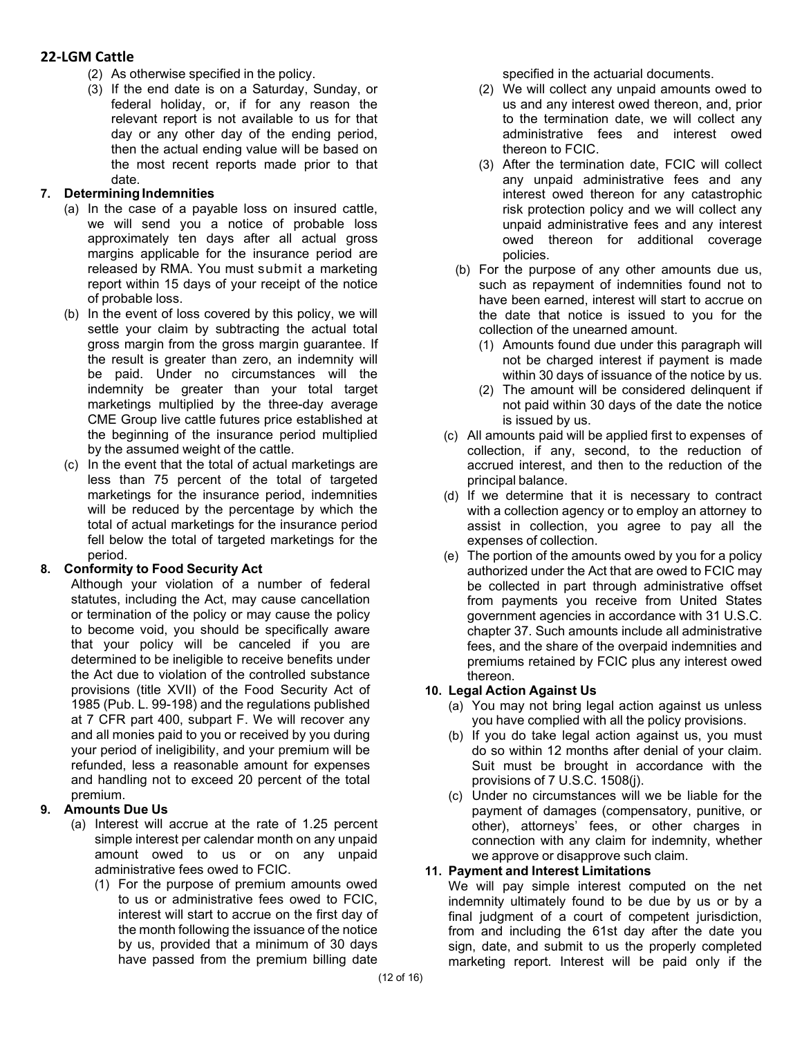- (2) As otherwise specified in the policy.
- (3) If the end date is on a Saturday, Sunday, or federal holiday, or, if for any reason the relevant report is not available to us for that day or any other day of the ending period, then the actual ending value will be based on the most recent reports made prior to that date.

### **7. Determining Indemnities**

- (a) In the case of a payable loss on insured cattle, we will send you a notice of probable loss approximately ten days after all actual gross margins applicable for the insurance period are released by RMA. You must submit a marketing report within 15 days of your receipt of the notice of probable loss.
- (b) In the event of loss covered by this policy, we will settle your claim by subtracting the actual total gross margin from the gross margin guarantee. If the result is greater than zero, an indemnity will be paid. Under no circumstances will the indemnity be greater than your total target marketings multiplied by the three-day average CME Group live cattle futures price established at the beginning of the insurance period multiplied by the assumed weight of the cattle.
- (c) In the event that the total of actual marketings are less than 75 percent of the total of targeted marketings for the insurance period, indemnities will be reduced by the percentage by which the total of actual marketings for the insurance period fell below the total of targeted marketings for the period.

# **8. Conformity to Food Security Act**

Although your violation of a number of federal statutes, including the Act, may cause cancellation or termination of the policy or may cause the policy to become void, you should be specifically aware that your policy will be canceled if you are determined to be ineligible to receive benefits under the Act due to violation of the controlled substance provisions (title XVII) of the Food Security Act of 1985 (Pub. L. 99-198) and the regulations published at 7 CFR part 400, subpart F. We will recover any and all monies paid to you or received by you during your period of ineligibility, and your premium will be refunded, less a reasonable amount for expenses and handling not to exceed 20 percent of the total premium.

# **9. Amounts Due Us**

- (a) Interest will accrue at the rate of 1.25 percent simple interest per calendar month on any unpaid amount owed to us or on any unpaid administrative fees owed to FCIC.
	- (1) For the purpose of premium amounts owed to us or administrative fees owed to FCIC, interest will start to accrue on the first day of the month following the issuance of the notice by us, provided that a minimum of 30 days have passed from the premium billing date

specified in the actuarial documents.

- (2) We will collect any unpaid amounts owed to us and any interest owed thereon, and, prior to the termination date, we will collect any administrative fees and interest owed thereon to FCIC.
- (3) After the termination date, FCIC will collect any unpaid administrative fees and any interest owed thereon for any catastrophic risk protection policy and we will collect any unpaid administrative fees and any interest owed thereon for additional coverage policies.
- (b) For the purpose of any other amounts due us, such as repayment of indemnities found not to have been earned, interest will start to accrue on the date that notice is issued to you for the collection of the unearned amount.
	- (1) Amounts found due under this paragraph will not be charged interest if payment is made within 30 days of issuance of the notice by us.
	- (2) The amount will be considered delinquent if not paid within 30 days of the date the notice is issued by us.
- (c) All amounts paid will be applied first to expenses of collection, if any, second, to the reduction of accrued interest, and then to the reduction of the principal balance.
- (d) If we determine that it is necessary to contract with a collection agency or to employ an attorney to assist in collection, you agree to pay all the expenses of collection.
- (e) The portion of the amounts owed by you for a policy authorized under the Act that are owed to FCIC may be collected in part through administrative offset from payments you receive from United States government agencies in accordance with 31 U.S.C. chapter 37. Such amounts include all administrative fees, and the share of the overpaid indemnities and premiums retained by FCIC plus any interest owed thereon.

# **10. Legal Action Against Us**

- (a) You may not bring legal action against us unless you have complied with all the policy provisions.
- (b) If you do take legal action against us, you must do so within 12 months after denial of your claim. Suit must be brought in accordance with the provisions of 7 U.S.C. 1508(j).
- (c) Under no circumstances will we be liable for the payment of damages (compensatory, punitive, or other), attorneys' fees, or other charges in connection with any claim for indemnity, whether we approve or disapprove such claim.

### **11. Payment and Interest Limitations**

We will pay simple interest computed on the net indemnity ultimately found to be due by us or by a final judgment of a court of competent jurisdiction. from and including the 61st day after the date you sign, date, and submit to us the properly completed marketing report. Interest will be paid only if the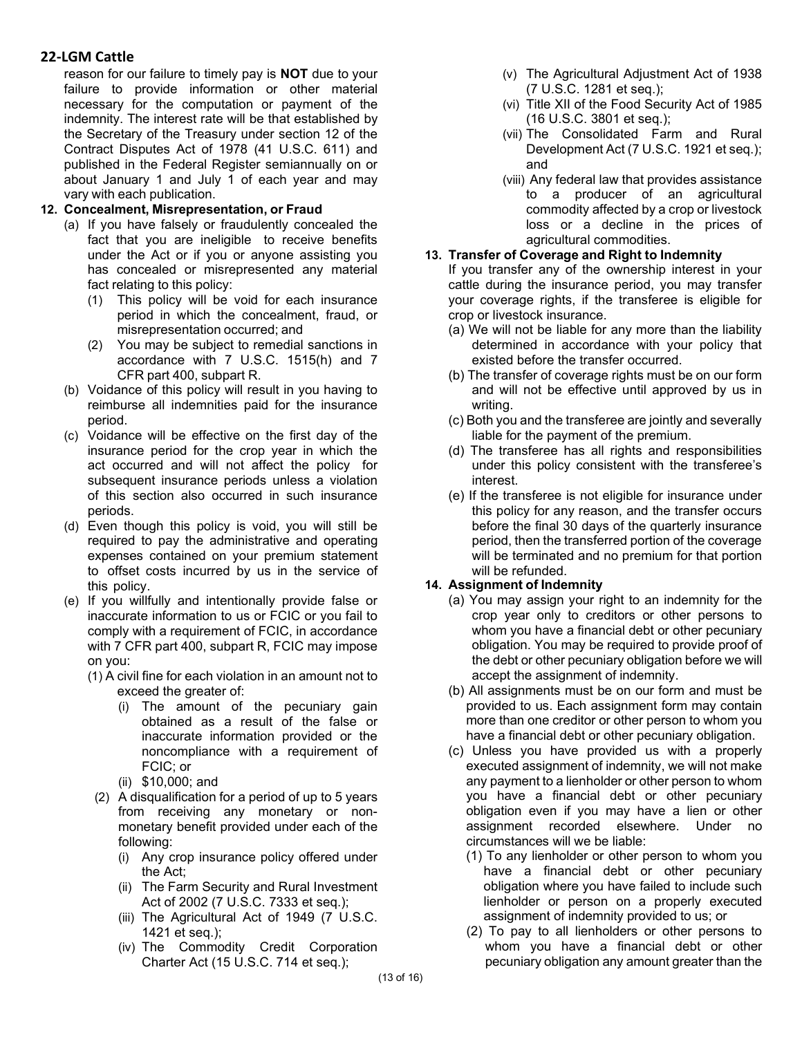reason for our failure to timely pay is **NOT** due to your failure to provide information or other material necessary for the computation or payment of the indemnity. The interest rate will be that established by the Secretary of the Treasury under section 12 of the Contract Disputes Act of 1978 (41 U.S.C. 611) and published in the Federal Register semiannually on or about January 1 and July 1 of each year and may vary with each publication.

### **12. Concealment, Misrepresentation, or Fraud**

- (a) If you have falsely or fraudulently concealed the fact that you are ineligible to receive benefits under the Act or if you or anyone assisting you has concealed or misrepresented any material fact relating to this policy:
	- (1) This policy will be void for each insurance period in which the concealment, fraud, or misrepresentation occurred; and
	- (2) You may be subject to remedial sanctions in accordance with 7 U.S.C. 1515(h) and 7 CFR part 400, subpart R.
- (b) Voidance of this policy will result in you having to reimburse all indemnities paid for the insurance period.
- (c) Voidance will be effective on the first day of the insurance period for the crop year in which the act occurred and will not affect the policy for subsequent insurance periods unless a violation of this section also occurred in such insurance periods.
- (d) Even though this policy is void, you will still be required to pay the administrative and operating expenses contained on your premium statement to offset costs incurred by us in the service of this policy.
- (e) If you willfully and intentionally provide false or inaccurate information to us or FCIC or you fail to comply with a requirement of FCIC, in accordance with 7 CFR part 400, subpart R, FCIC may impose on you:
	- (1) A civil fine for each violation in an amount not to exceed the greater of:
		- (i) The amount of the pecuniary gain obtained as a result of the false or inaccurate information provided or the noncompliance with a requirement of FCIC; or
		- (ii) \$10,000; and
		- (2) A disqualification for a period of up to 5 years from receiving any monetary or nonmonetary benefit provided under each of the following:
			- (i) Any crop insurance policy offered under the Act;
			- (ii) The Farm Security and Rural Investment Act of 2002 (7 U.S.C. 7333 et seq.);
			- (iii) The Agricultural Act of 1949 (7 U.S.C. 1421 et seq.);
			- (iv) The Commodity Credit Corporation Charter Act (15 U.S.C. 714 et seq.);
- (v) The Agricultural Adjustment Act of 1938 (7 U.S.C. 1281 et seq.);
- (vi) Title XII of the Food Security Act of 1985 (16 U.S.C. 3801 et seq.);
- (vii) The Consolidated Farm and Rural Development Act (7 U.S.C. 1921 et seq.); and
- (viii) Any federal law that provides assistance to a producer of an agricultural commodity affected by a crop or livestock loss or a decline in the prices of agricultural commodities.

### **13. Transfer of Coverage and Right to Indemnity**

If you transfer any of the ownership interest in your cattle during the insurance period, you may transfer your coverage rights, if the transferee is eligible for crop or livestock insurance.

- (a) We will not be liable for any more than the liability determined in accordance with your policy that existed before the transfer occurred.
- (b) The transfer of coverage rights must be on our form and will not be effective until approved by us in writing.
- (c) Both you and the transferee are jointly and severally liable for the payment of the premium.
- (d) The transferee has all rights and responsibilities under this policy consistent with the transferee's interest.
- (e) If the transferee is not eligible for insurance under this policy for any reason, and the transfer occurs before the final 30 days of the quarterly insurance period, then the transferred portion of the coverage will be terminated and no premium for that portion will be refunded.

### **14. Assignment of Indemnity**

- (a) You may assign your right to an indemnity for the crop year only to creditors or other persons to whom you have a financial debt or other pecuniary obligation. You may be required to provide proof of the debt or other pecuniary obligation before we will accept the assignment of indemnity.
- (b) All assignments must be on our form and must be provided to us. Each assignment form may contain more than one creditor or other person to whom you have a financial debt or other pecuniary obligation.
- (c) Unless you have provided us with a properly executed assignment of indemnity, we will not make any payment to a lienholder or other person to whom you have a financial debt or other pecuniary obligation even if you may have a lien or other assignment recorded elsewhere. Under circumstances will we be liable:
	- (1) To any lienholder or other person to whom you have a financial debt or other pecuniary obligation where you have failed to include such lienholder or person on a properly executed assignment of indemnity provided to us; or
	- (2) To pay to all lienholders or other persons to whom you have a financial debt or other pecuniary obligation any amount greater than the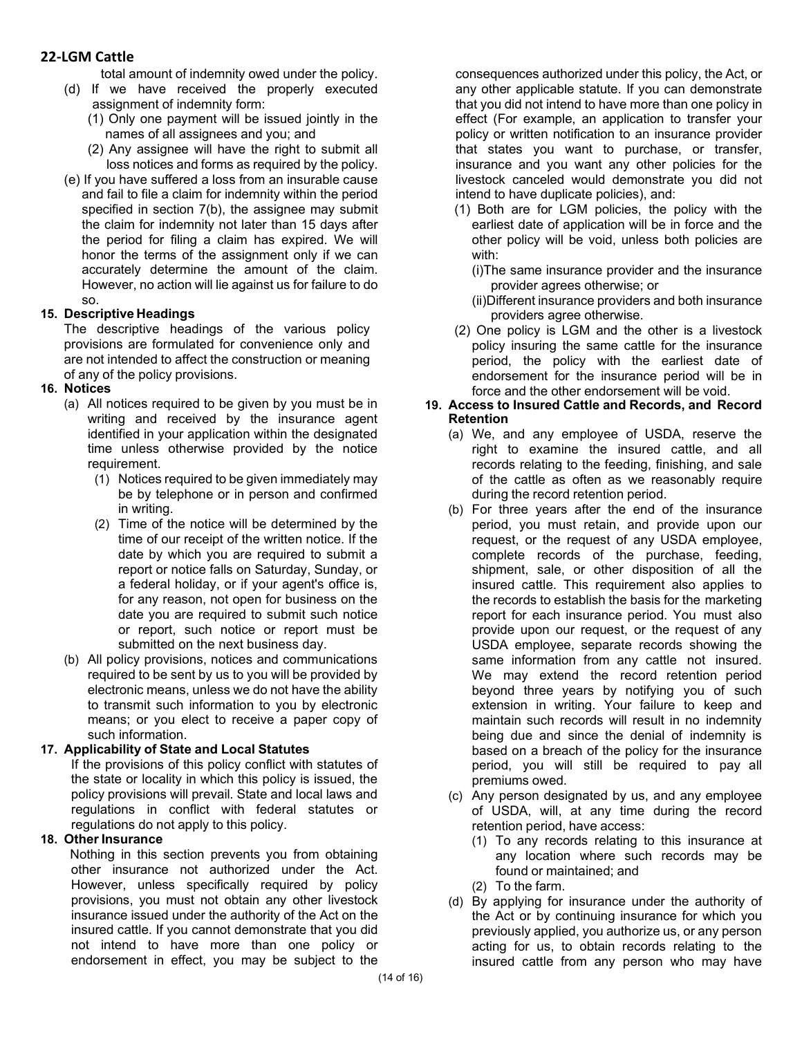total amount of indemnity owed under the policy.

- (d) If we have received the properly executed assignment of indemnity form:
	- (1) Only one payment will be issued jointly in the names of all assignees and you; and
	- (2) Any assignee will have the right to submit all loss notices and forms as required by the policy.
- (e) If you have suffered a loss from an insurable cause and fail to file a claim for indemnity within the period specified in section 7(b), the assignee may submit the claim for indemnity not later than 15 days after the period for filing a claim has expired. We will honor the terms of the assignment only if we can accurately determine the amount of the claim. However, no action will lie against us for failure to do so.

### **15. Descriptive Headings**

The descriptive headings of the various policy provisions are formulated for convenience only and are not intended to affect the construction or meaning of any of the policy provisions.

## **16. Notices**

- (a) All notices required to be given by you must be in writing and received by the insurance agent identified in your application within the designated time unless otherwise provided by the notice requirement.
	- (1) Notices required to be given immediately may be by telephone or in person and confirmed in writing.
	- (2) Time of the notice will be determined by the time of our receipt of the written notice. If the date by which you are required to submit a report or notice falls on Saturday, Sunday, or a federal holiday, or if your agent's office is, for any reason, not open for business on the date you are required to submit such notice or report, such notice or report must be submitted on the next business day.
- (b) All policy provisions, notices and communications required to be sent by us to you will be provided by electronic means, unless we do not have the ability to transmit such information to you by electronic means; or you elect to receive a paper copy of such information.

### **17. Applicability of State and Local Statutes**

If the provisions of this policy conflict with statutes of the state or locality in which this policy is issued, the policy provisions will prevail. State and local laws and regulations in conflict with federal statutes or regulations do not apply to this policy.

### **18. Other Insurance**

Nothing in this section prevents you from obtaining other insurance not authorized under the Act. However, unless specifically required by policy provisions, you must not obtain any other livestock insurance issued under the authority of the Act on the insured cattle. If you cannot demonstrate that you did not intend to have more than one policy or endorsement in effect, you may be subject to the

consequences authorized under this policy, the Act, or any other applicable statute. If you can demonstrate that you did not intend to have more than one policy in effect (For example, an application to transfer your policy or written notification to an insurance provider that states you want to purchase, or transfer, insurance and you want any other policies for the livestock canceled would demonstrate you did not intend to have duplicate policies), and:

- (1) Both are for LGM policies, the policy with the earliest date of application will be in force and the other policy will be void, unless both policies are with:
	- (i)The same insurance provider and the insurance provider agrees otherwise; or
	- (ii)Different insurance providers and both insurance providers agree otherwise.
- (2) One policy is LGM and the other is a livestock policy insuring the same cattle for the insurance period, the policy with the earliest date of endorsement for the insurance period will be in force and the other endorsement will be void.

#### **19. Access to Insured Cattle and Records, and Record Retention**

- (a) We, and any employee of USDA, reserve the right to examine the insured cattle, and all records relating to the feeding, finishing, and sale of the cattle as often as we reasonably require during the record retention period.
- (b) For three years after the end of the insurance period, you must retain, and provide upon our request, or the request of any USDA employee, complete records of the purchase, feeding, shipment, sale, or other disposition of all the insured cattle. This requirement also applies to the records to establish the basis for the marketing report for each insurance period. You must also provide upon our request, or the request of any USDA employee, separate records showing the same information from any cattle not insured. We may extend the record retention period beyond three years by notifying you of such extension in writing. Your failure to keep and maintain such records will result in no indemnity being due and since the denial of indemnity is based on a breach of the policy for the insurance period, you will still be required to pay all premiums owed.
- (c) Any person designated by us, and any employee of USDA, will, at any time during the record retention period, have access:
	- (1) To any records relating to this insurance at any location where such records may be found or maintained; and
	- (2) To the farm.
- (d) By applying for insurance under the authority of the Act or by continuing insurance for which you previously applied, you authorize us, or any person acting for us, to obtain records relating to the insured cattle from any person who may have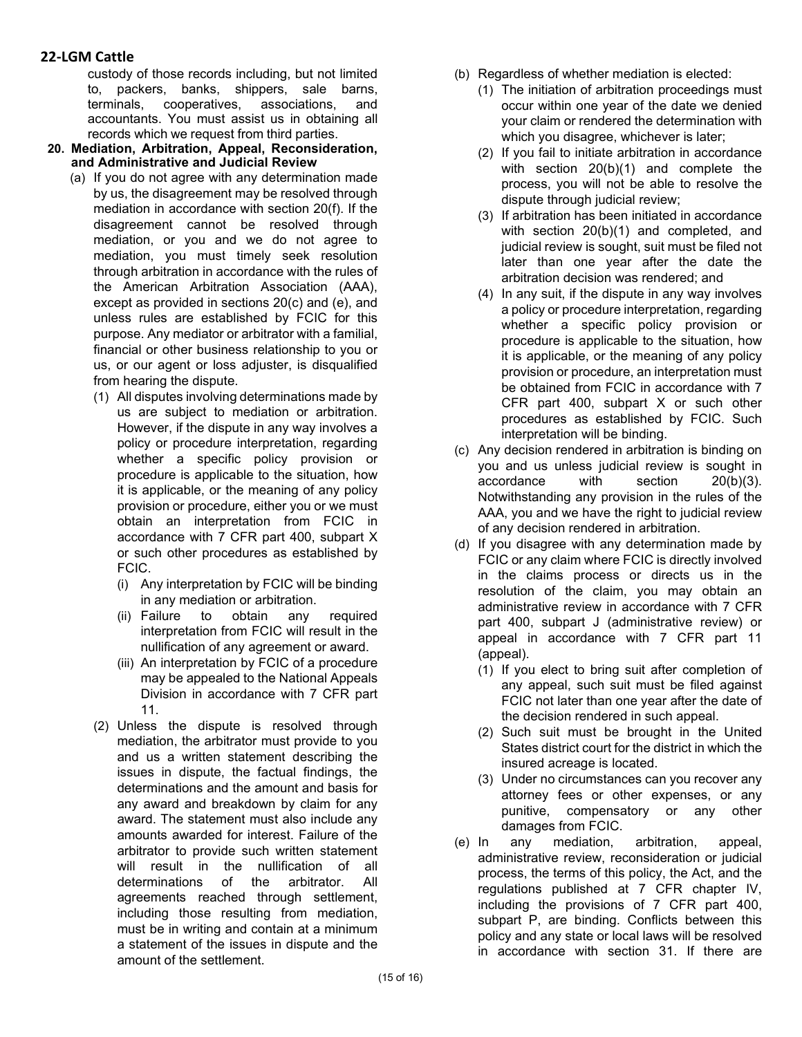custody of those records including, but not limited to, packers, banks, shippers, sale barns, terminals, cooperatives, associations, and accountants. You must assist us in obtaining all records which we request from third parties.

- **20. Mediation, Arbitration, Appeal, Reconsideration, and Administrative and Judicial Review**
	- (a) If you do not agree with any determination made by us, the disagreement may be resolved through mediation in accordance with section 20(f). If the disagreement cannot be resolved through mediation, or you and we do not agree to mediation, you must timely seek resolution through arbitration in accordance with the rules of the American Arbitration Association (AAA), except as provided in sections 20(c) and (e), and unless rules are established by FCIC for this purpose. Any mediator or arbitrator with a familial, financial or other business relationship to you or us, or our agent or loss adjuster, is disqualified from hearing the dispute.
		- (1) All disputes involving determinations made by us are subject to mediation or arbitration. However, if the dispute in any way involves a policy or procedure interpretation, regarding whether a specific policy provision or procedure is applicable to the situation, how it is applicable, or the meaning of any policy provision or procedure, either you or we must obtain an interpretation from FCIC in accordance with 7 CFR part 400, subpart X or such other procedures as established by FCIC.
			- (i) Any interpretation by FCIC will be binding in any mediation or arbitration.
			- (ii) Failure to obtain any required interpretation from FCIC will result in the nullification of any agreement or award.
			- (iii) An interpretation by FCIC of a procedure may be appealed to the National Appeals Division in accordance with 7 CFR part 11.
		- (2) Unless the dispute is resolved through mediation, the arbitrator must provide to you and us a written statement describing the issues in dispute, the factual findings, the determinations and the amount and basis for any award and breakdown by claim for any award. The statement must also include any amounts awarded for interest. Failure of the arbitrator to provide such written statement will result in the nullification of all determinations of the arbitrator. All agreements reached through settlement, including those resulting from mediation, must be in writing and contain at a minimum a statement of the issues in dispute and the amount of the settlement.
- (b) Regardless of whether mediation is elected:
	- (1) The initiation of arbitration proceedings must occur within one year of the date we denied your claim or rendered the determination with which you disagree, whichever is later;
	- (2) If you fail to initiate arbitration in accordance with section 20(b)(1) and complete the process, you will not be able to resolve the dispute through judicial review;
	- (3) If arbitration has been initiated in accordance with section 20(b)(1) and completed, and judicial review is sought, suit must be filed not later than one year after the date the arbitration decision was rendered; and
	- (4) In any suit, if the dispute in any way involves a policy or procedure interpretation, regarding whether a specific policy provision or procedure is applicable to the situation, how it is applicable, or the meaning of any policy provision or procedure, an interpretation must be obtained from FCIC in accordance with 7 CFR part 400, subpart X or such other procedures as established by FCIC. Such interpretation will be binding.
- (c) Any decision rendered in arbitration is binding on you and us unless judicial review is sought in accordance with section 20(b)(3). Notwithstanding any provision in the rules of the AAA, you and we have the right to judicial review of any decision rendered in arbitration.
- (d) If you disagree with any determination made by FCIC or any claim where FCIC is directly involved in the claims process or directs us in the resolution of the claim, you may obtain an administrative review in accordance with 7 CFR part 400, subpart J (administrative review) or appeal in accordance with 7 CFR part 11 (appeal).
	- (1) If you elect to bring suit after completion of any appeal, such suit must be filed against FCIC not later than one year after the date of the decision rendered in such appeal.
	- (2) Such suit must be brought in the United States district court for the district in which the insured acreage is located.
	- (3) Under no circumstances can you recover any attorney fees or other expenses, or any punitive, compensatory or any other damages from FCIC.
- (e) In any mediation, arbitration, appeal, administrative review, reconsideration or judicial process, the terms of this policy, the Act, and the regulations published at 7 CFR chapter IV, including the provisions of 7 CFR part 400, subpart P, are binding. Conflicts between this policy and any state or local laws will be resolved in accordance with section 31. If there are